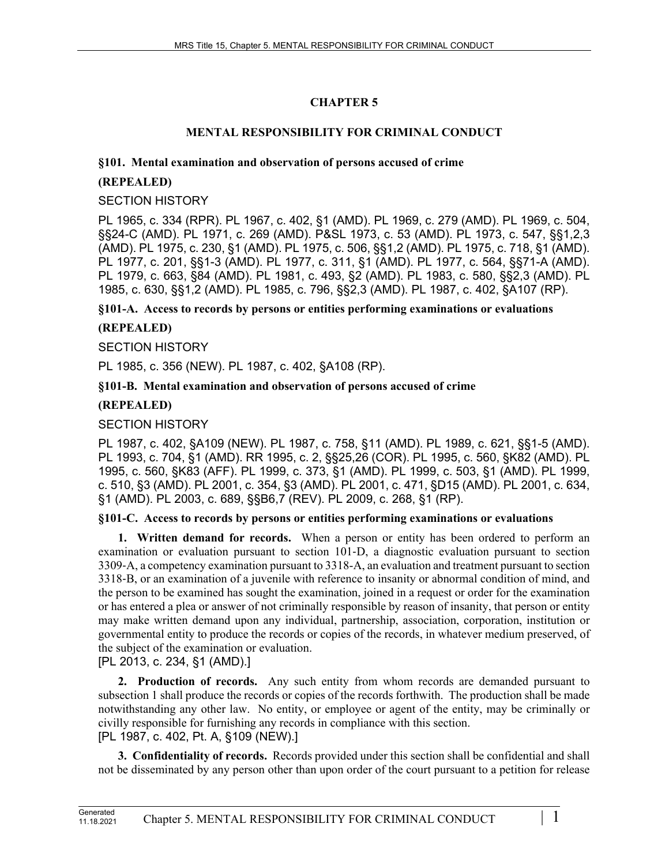# **CHAPTER 5**

## **MENTAL RESPONSIBILITY FOR CRIMINAL CONDUCT**

### **§101. Mental examination and observation of persons accused of crime**

### **(REPEALED)**

#### SECTION HISTORY

PL 1965, c. 334 (RPR). PL 1967, c. 402, §1 (AMD). PL 1969, c. 279 (AMD). PL 1969, c. 504, §§24-C (AMD). PL 1971, c. 269 (AMD). P&SL 1973, c. 53 (AMD). PL 1973, c. 547, §§1,2,3 (AMD). PL 1975, c. 230, §1 (AMD). PL 1975, c. 506, §§1,2 (AMD). PL 1975, c. 718, §1 (AMD). PL 1977, c. 201, §§1-3 (AMD). PL 1977, c. 311, §1 (AMD). PL 1977, c. 564, §§71-A (AMD). PL 1979, c. 663, §84 (AMD). PL 1981, c. 493, §2 (AMD). PL 1983, c. 580, §§2,3 (AMD). PL 1985, c. 630, §§1,2 (AMD). PL 1985, c. 796, §§2,3 (AMD). PL 1987, c. 402, §A107 (RP).

**§101-A. Access to records by persons or entities performing examinations or evaluations**

## **(REPEALED)**

### SECTION HISTORY

PL 1985, c. 356 (NEW). PL 1987, c. 402, §A108 (RP).

### **§101-B. Mental examination and observation of persons accused of crime**

## **(REPEALED)**

# SECTION HISTORY

PL 1987, c. 402, §A109 (NEW). PL 1987, c. 758, §11 (AMD). PL 1989, c. 621, §§1-5 (AMD). PL 1993, c. 704, §1 (AMD). RR 1995, c. 2, §§25,26 (COR). PL 1995, c. 560, §K82 (AMD). PL 1995, c. 560, §K83 (AFF). PL 1999, c. 373, §1 (AMD). PL 1999, c. 503, §1 (AMD). PL 1999, c. 510, §3 (AMD). PL 2001, c. 354, §3 (AMD). PL 2001, c. 471, §D15 (AMD). PL 2001, c. 634, §1 (AMD). PL 2003, c. 689, §§B6,7 (REV). PL 2009, c. 268, §1 (RP).

## **§101-C. Access to records by persons or entities performing examinations or evaluations**

**1. Written demand for records.** When a person or entity has been ordered to perform an examination or evaluation pursuant to section 101‑D, a diagnostic evaluation pursuant to section 3309‑A, a competency examination pursuant to 3318-A, an evaluation and treatment pursuant to section 3318‑B, or an examination of a juvenile with reference to insanity or abnormal condition of mind, and the person to be examined has sought the examination, joined in a request or order for the examination or has entered a plea or answer of not criminally responsible by reason of insanity, that person or entity may make written demand upon any individual, partnership, association, corporation, institution or governmental entity to produce the records or copies of the records, in whatever medium preserved, of the subject of the examination or evaluation.

# [PL 2013, c. 234, §1 (AMD).]

**2. Production of records.** Any such entity from whom records are demanded pursuant to subsection 1 shall produce the records or copies of the records forthwith. The production shall be made notwithstanding any other law. No entity, or employee or agent of the entity, may be criminally or civilly responsible for furnishing any records in compliance with this section. [PL 1987, c. 402, Pt. A, §109 (NEW).]

**3. Confidentiality of records.** Records provided under this section shall be confidential and shall not be disseminated by any person other than upon order of the court pursuant to a petition for release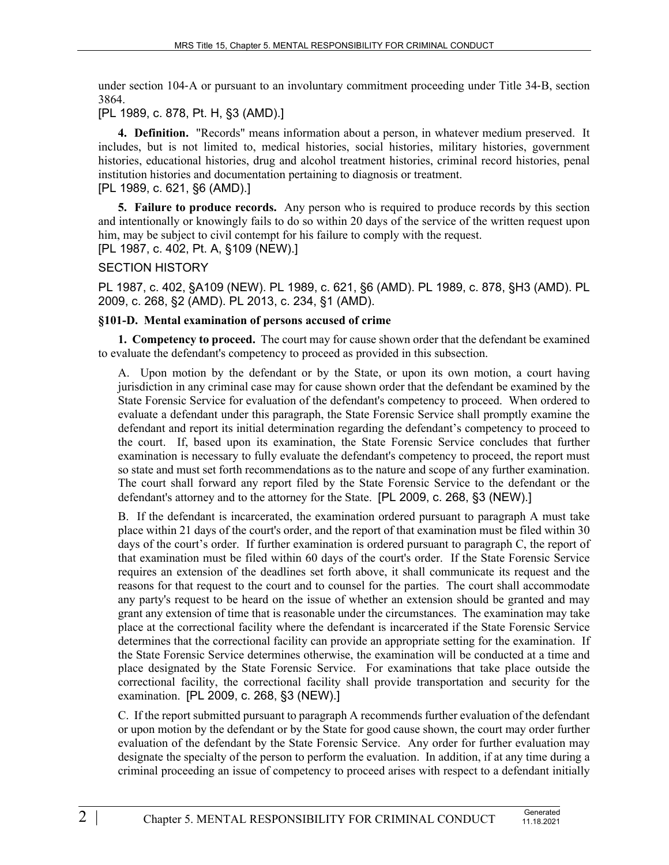under section 104‑A or pursuant to an involuntary commitment proceeding under Title 34‑B, section 3864.

# [PL 1989, c. 878, Pt. H, §3 (AMD).]

**4. Definition.** "Records" means information about a person, in whatever medium preserved. It includes, but is not limited to, medical histories, social histories, military histories, government histories, educational histories, drug and alcohol treatment histories, criminal record histories, penal institution histories and documentation pertaining to diagnosis or treatment. [PL 1989, c. 621, §6 (AMD).]

**5. Failure to produce records.** Any person who is required to produce records by this section and intentionally or knowingly fails to do so within 20 days of the service of the written request upon him, may be subject to civil contempt for his failure to comply with the request.

[PL 1987, c. 402, Pt. A, §109 (NEW).]

### SECTION HISTORY

PL 1987, c. 402, §A109 (NEW). PL 1989, c. 621, §6 (AMD). PL 1989, c. 878, §H3 (AMD). PL 2009, c. 268, §2 (AMD). PL 2013, c. 234, §1 (AMD).

### **§101-D. Mental examination of persons accused of crime**

**1. Competency to proceed.** The court may for cause shown order that the defendant be examined to evaluate the defendant's competency to proceed as provided in this subsection.

A. Upon motion by the defendant or by the State, or upon its own motion, a court having jurisdiction in any criminal case may for cause shown order that the defendant be examined by the State Forensic Service for evaluation of the defendant's competency to proceed. When ordered to evaluate a defendant under this paragraph, the State Forensic Service shall promptly examine the defendant and report its initial determination regarding the defendant's competency to proceed to the court. If, based upon its examination, the State Forensic Service concludes that further examination is necessary to fully evaluate the defendant's competency to proceed, the report must so state and must set forth recommendations as to the nature and scope of any further examination. The court shall forward any report filed by the State Forensic Service to the defendant or the defendant's attorney and to the attorney for the State. [PL 2009, c. 268, §3 (NEW).]

B. If the defendant is incarcerated, the examination ordered pursuant to paragraph A must take place within 21 days of the court's order, and the report of that examination must be filed within 30 days of the court's order. If further examination is ordered pursuant to paragraph C, the report of that examination must be filed within 60 days of the court's order. If the State Forensic Service requires an extension of the deadlines set forth above, it shall communicate its request and the reasons for that request to the court and to counsel for the parties. The court shall accommodate any party's request to be heard on the issue of whether an extension should be granted and may grant any extension of time that is reasonable under the circumstances. The examination may take place at the correctional facility where the defendant is incarcerated if the State Forensic Service determines that the correctional facility can provide an appropriate setting for the examination. If the State Forensic Service determines otherwise, the examination will be conducted at a time and place designated by the State Forensic Service. For examinations that take place outside the correctional facility, the correctional facility shall provide transportation and security for the examination. [PL 2009, c. 268, §3 (NEW).]

C. If the report submitted pursuant to paragraph A recommends further evaluation of the defendant or upon motion by the defendant or by the State for good cause shown, the court may order further evaluation of the defendant by the State Forensic Service. Any order for further evaluation may designate the specialty of the person to perform the evaluation. In addition, if at any time during a criminal proceeding an issue of competency to proceed arises with respect to a defendant initially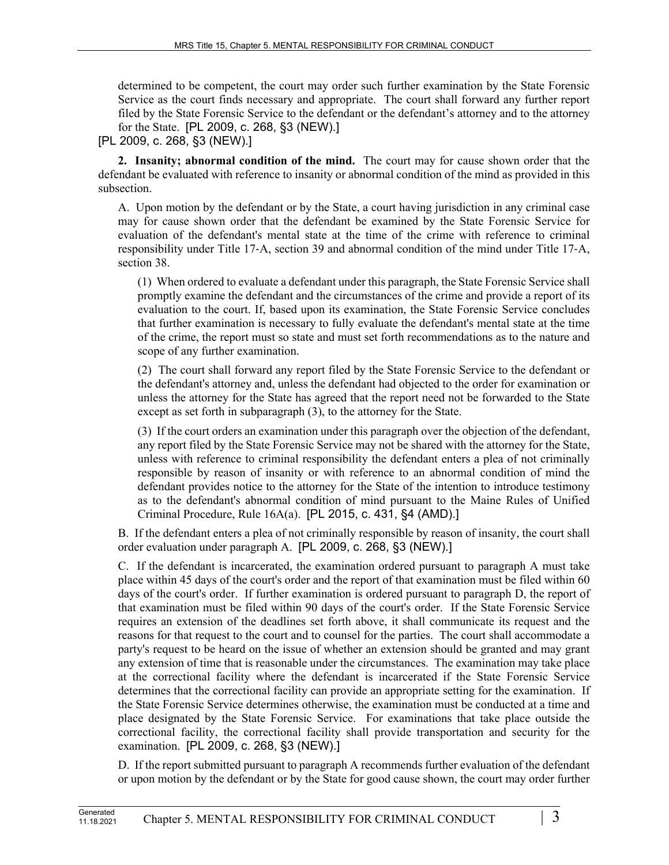determined to be competent, the court may order such further examination by the State Forensic Service as the court finds necessary and appropriate. The court shall forward any further report filed by the State Forensic Service to the defendant or the defendant's attorney and to the attorney for the State. [PL 2009, c. 268, §3 (NEW).]

### [PL 2009, c. 268, §3 (NEW).]

**2. Insanity; abnormal condition of the mind.** The court may for cause shown order that the defendant be evaluated with reference to insanity or abnormal condition of the mind as provided in this subsection.

A. Upon motion by the defendant or by the State, a court having jurisdiction in any criminal case may for cause shown order that the defendant be examined by the State Forensic Service for evaluation of the defendant's mental state at the time of the crime with reference to criminal responsibility under Title 17‑A, section 39 and abnormal condition of the mind under Title 17‑A, section 38.

(1) When ordered to evaluate a defendant under this paragraph, the State Forensic Service shall promptly examine the defendant and the circumstances of the crime and provide a report of its evaluation to the court. If, based upon its examination, the State Forensic Service concludes that further examination is necessary to fully evaluate the defendant's mental state at the time of the crime, the report must so state and must set forth recommendations as to the nature and scope of any further examination.

(2) The court shall forward any report filed by the State Forensic Service to the defendant or the defendant's attorney and, unless the defendant had objected to the order for examination or unless the attorney for the State has agreed that the report need not be forwarded to the State except as set forth in subparagraph (3), to the attorney for the State.

(3) If the court orders an examination under this paragraph over the objection of the defendant, any report filed by the State Forensic Service may not be shared with the attorney for the State, unless with reference to criminal responsibility the defendant enters a plea of not criminally responsible by reason of insanity or with reference to an abnormal condition of mind the defendant provides notice to the attorney for the State of the intention to introduce testimony as to the defendant's abnormal condition of mind pursuant to the Maine Rules of Unified Criminal Procedure, Rule 16A(a). [PL 2015, c. 431, §4 (AMD).]

B. If the defendant enters a plea of not criminally responsible by reason of insanity, the court shall order evaluation under paragraph A. [PL 2009, c. 268, §3 (NEW).]

C. If the defendant is incarcerated, the examination ordered pursuant to paragraph A must take place within 45 days of the court's order and the report of that examination must be filed within 60 days of the court's order. If further examination is ordered pursuant to paragraph D, the report of that examination must be filed within 90 days of the court's order. If the State Forensic Service requires an extension of the deadlines set forth above, it shall communicate its request and the reasons for that request to the court and to counsel for the parties. The court shall accommodate a party's request to be heard on the issue of whether an extension should be granted and may grant any extension of time that is reasonable under the circumstances. The examination may take place at the correctional facility where the defendant is incarcerated if the State Forensic Service determines that the correctional facility can provide an appropriate setting for the examination. If the State Forensic Service determines otherwise, the examination must be conducted at a time and place designated by the State Forensic Service. For examinations that take place outside the correctional facility, the correctional facility shall provide transportation and security for the examination. [PL 2009, c. 268, §3 (NEW).]

D. If the report submitted pursuant to paragraph A recommends further evaluation of the defendant or upon motion by the defendant or by the State for good cause shown, the court may order further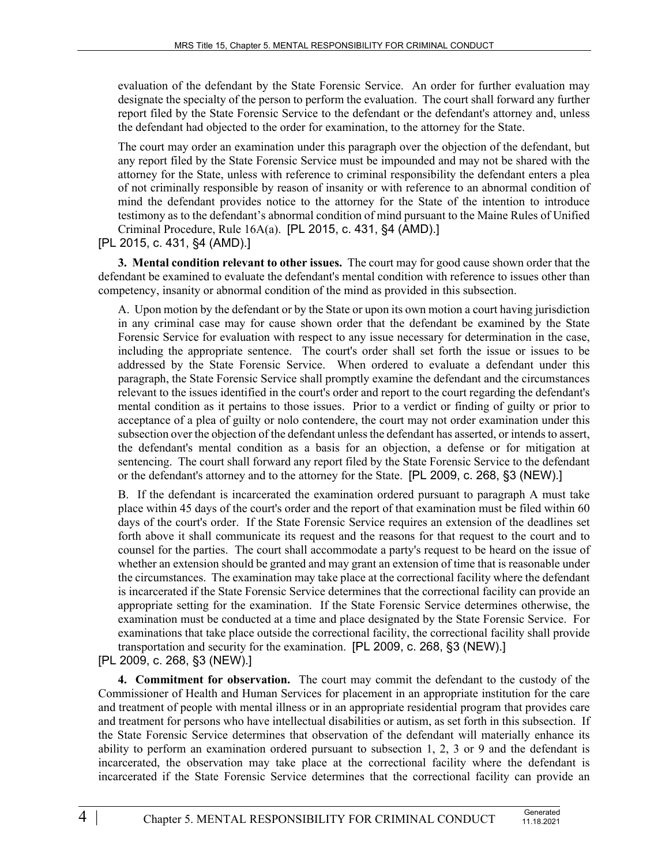evaluation of the defendant by the State Forensic Service. An order for further evaluation may designate the specialty of the person to perform the evaluation. The court shall forward any further report filed by the State Forensic Service to the defendant or the defendant's attorney and, unless the defendant had objected to the order for examination, to the attorney for the State.

The court may order an examination under this paragraph over the objection of the defendant, but any report filed by the State Forensic Service must be impounded and may not be shared with the attorney for the State, unless with reference to criminal responsibility the defendant enters a plea of not criminally responsible by reason of insanity or with reference to an abnormal condition of mind the defendant provides notice to the attorney for the State of the intention to introduce testimony as to the defendant's abnormal condition of mind pursuant to the Maine Rules of Unified Criminal Procedure, Rule 16A(a). [PL 2015, c. 431, §4 (AMD).]

[PL 2015, c. 431, §4 (AMD).]

**3. Mental condition relevant to other issues.** The court may for good cause shown order that the defendant be examined to evaluate the defendant's mental condition with reference to issues other than competency, insanity or abnormal condition of the mind as provided in this subsection.

A. Upon motion by the defendant or by the State or upon its own motion a court having jurisdiction in any criminal case may for cause shown order that the defendant be examined by the State Forensic Service for evaluation with respect to any issue necessary for determination in the case, including the appropriate sentence. The court's order shall set forth the issue or issues to be addressed by the State Forensic Service. When ordered to evaluate a defendant under this paragraph, the State Forensic Service shall promptly examine the defendant and the circumstances relevant to the issues identified in the court's order and report to the court regarding the defendant's mental condition as it pertains to those issues. Prior to a verdict or finding of guilty or prior to acceptance of a plea of guilty or nolo contendere, the court may not order examination under this subsection over the objection of the defendant unless the defendant has asserted, or intends to assert, the defendant's mental condition as a basis for an objection, a defense or for mitigation at sentencing. The court shall forward any report filed by the State Forensic Service to the defendant or the defendant's attorney and to the attorney for the State. [PL 2009, c. 268, §3 (NEW).]

B. If the defendant is incarcerated the examination ordered pursuant to paragraph A must take place within 45 days of the court's order and the report of that examination must be filed within 60 days of the court's order. If the State Forensic Service requires an extension of the deadlines set forth above it shall communicate its request and the reasons for that request to the court and to counsel for the parties. The court shall accommodate a party's request to be heard on the issue of whether an extension should be granted and may grant an extension of time that is reasonable under the circumstances. The examination may take place at the correctional facility where the defendant is incarcerated if the State Forensic Service determines that the correctional facility can provide an appropriate setting for the examination. If the State Forensic Service determines otherwise, the examination must be conducted at a time and place designated by the State Forensic Service. For examinations that take place outside the correctional facility, the correctional facility shall provide transportation and security for the examination. [PL 2009, c. 268, §3 (NEW).]

[PL 2009, c. 268, §3 (NEW).]

**4. Commitment for observation.** The court may commit the defendant to the custody of the Commissioner of Health and Human Services for placement in an appropriate institution for the care and treatment of people with mental illness or in an appropriate residential program that provides care and treatment for persons who have intellectual disabilities or autism, as set forth in this subsection. If the State Forensic Service determines that observation of the defendant will materially enhance its ability to perform an examination ordered pursuant to subsection 1, 2, 3 or 9 and the defendant is incarcerated, the observation may take place at the correctional facility where the defendant is incarcerated if the State Forensic Service determines that the correctional facility can provide an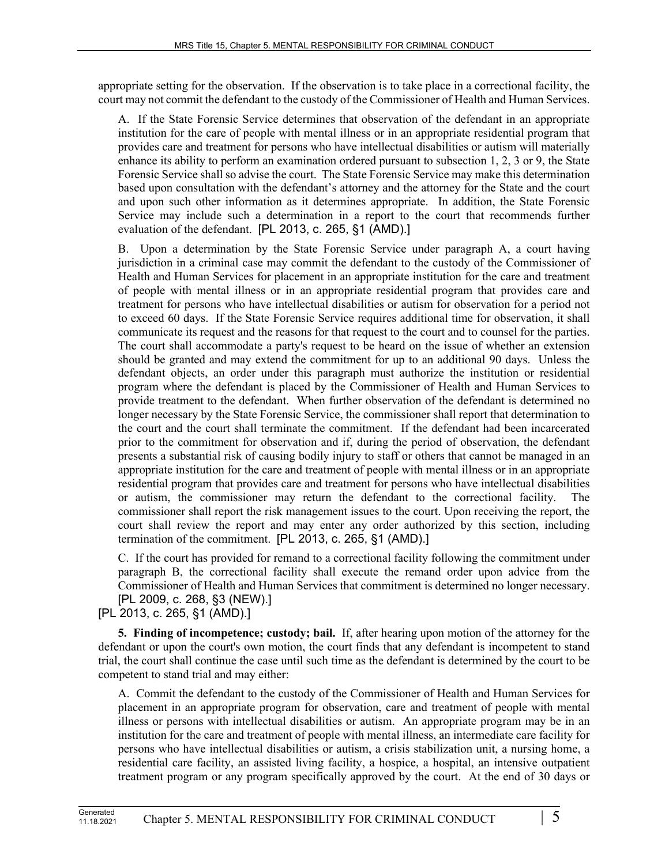appropriate setting for the observation. If the observation is to take place in a correctional facility, the court may not commit the defendant to the custody of the Commissioner of Health and Human Services.

A. If the State Forensic Service determines that observation of the defendant in an appropriate institution for the care of people with mental illness or in an appropriate residential program that provides care and treatment for persons who have intellectual disabilities or autism will materially enhance its ability to perform an examination ordered pursuant to subsection 1, 2, 3 or 9, the State Forensic Service shall so advise the court. The State Forensic Service may make this determination based upon consultation with the defendant's attorney and the attorney for the State and the court and upon such other information as it determines appropriate. In addition, the State Forensic Service may include such a determination in a report to the court that recommends further evaluation of the defendant. [PL 2013, c. 265, §1 (AMD).]

B. Upon a determination by the State Forensic Service under paragraph A, a court having jurisdiction in a criminal case may commit the defendant to the custody of the Commissioner of Health and Human Services for placement in an appropriate institution for the care and treatment of people with mental illness or in an appropriate residential program that provides care and treatment for persons who have intellectual disabilities or autism for observation for a period not to exceed 60 days. If the State Forensic Service requires additional time for observation, it shall communicate its request and the reasons for that request to the court and to counsel for the parties. The court shall accommodate a party's request to be heard on the issue of whether an extension should be granted and may extend the commitment for up to an additional 90 days. Unless the defendant objects, an order under this paragraph must authorize the institution or residential program where the defendant is placed by the Commissioner of Health and Human Services to provide treatment to the defendant. When further observation of the defendant is determined no longer necessary by the State Forensic Service, the commissioner shall report that determination to the court and the court shall terminate the commitment. If the defendant had been incarcerated prior to the commitment for observation and if, during the period of observation, the defendant presents a substantial risk of causing bodily injury to staff or others that cannot be managed in an appropriate institution for the care and treatment of people with mental illness or in an appropriate residential program that provides care and treatment for persons who have intellectual disabilities or autism, the commissioner may return the defendant to the correctional facility. The commissioner shall report the risk management issues to the court. Upon receiving the report, the court shall review the report and may enter any order authorized by this section, including termination of the commitment. [PL 2013, c. 265, §1 (AMD).]

C. If the court has provided for remand to a correctional facility following the commitment under paragraph B, the correctional facility shall execute the remand order upon advice from the Commissioner of Health and Human Services that commitment is determined no longer necessary. [PL 2009, c. 268, §3 (NEW).]

[PL 2013, c. 265, §1 (AMD).]

**5. Finding of incompetence; custody; bail.** If, after hearing upon motion of the attorney for the defendant or upon the court's own motion, the court finds that any defendant is incompetent to stand trial, the court shall continue the case until such time as the defendant is determined by the court to be competent to stand trial and may either:

A. Commit the defendant to the custody of the Commissioner of Health and Human Services for placement in an appropriate program for observation, care and treatment of people with mental illness or persons with intellectual disabilities or autism. An appropriate program may be in an institution for the care and treatment of people with mental illness, an intermediate care facility for persons who have intellectual disabilities or autism, a crisis stabilization unit, a nursing home, a residential care facility, an assisted living facility, a hospice, a hospital, an intensive outpatient treatment program or any program specifically approved by the court. At the end of 30 days or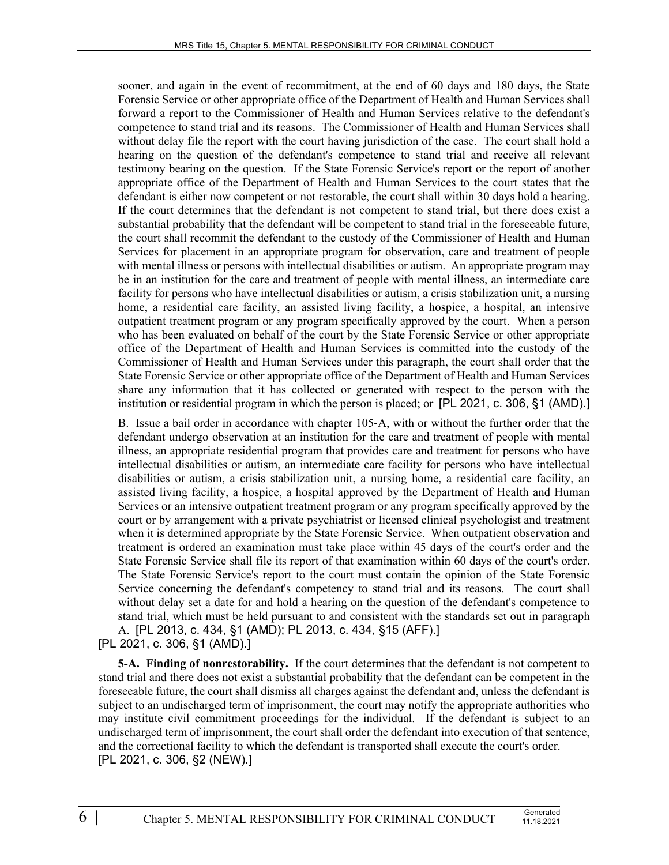sooner, and again in the event of recommitment, at the end of 60 days and 180 days, the State Forensic Service or other appropriate office of the Department of Health and Human Services shall forward a report to the Commissioner of Health and Human Services relative to the defendant's competence to stand trial and its reasons. The Commissioner of Health and Human Services shall without delay file the report with the court having jurisdiction of the case. The court shall hold a hearing on the question of the defendant's competence to stand trial and receive all relevant testimony bearing on the question. If the State Forensic Service's report or the report of another appropriate office of the Department of Health and Human Services to the court states that the defendant is either now competent or not restorable, the court shall within 30 days hold a hearing. If the court determines that the defendant is not competent to stand trial, but there does exist a substantial probability that the defendant will be competent to stand trial in the foreseeable future, the court shall recommit the defendant to the custody of the Commissioner of Health and Human Services for placement in an appropriate program for observation, care and treatment of people with mental illness or persons with intellectual disabilities or autism. An appropriate program may be in an institution for the care and treatment of people with mental illness, an intermediate care facility for persons who have intellectual disabilities or autism, a crisis stabilization unit, a nursing home, a residential care facility, an assisted living facility, a hospice, a hospital, an intensive outpatient treatment program or any program specifically approved by the court. When a person who has been evaluated on behalf of the court by the State Forensic Service or other appropriate office of the Department of Health and Human Services is committed into the custody of the Commissioner of Health and Human Services under this paragraph, the court shall order that the State Forensic Service or other appropriate office of the Department of Health and Human Services share any information that it has collected or generated with respect to the person with the institution or residential program in which the person is placed; or [PL 2021, c. 306, §1 (AMD).]

B. Issue a bail order in accordance with chapter 105‑A, with or without the further order that the defendant undergo observation at an institution for the care and treatment of people with mental illness, an appropriate residential program that provides care and treatment for persons who have intellectual disabilities or autism, an intermediate care facility for persons who have intellectual disabilities or autism, a crisis stabilization unit, a nursing home, a residential care facility, an assisted living facility, a hospice, a hospital approved by the Department of Health and Human Services or an intensive outpatient treatment program or any program specifically approved by the court or by arrangement with a private psychiatrist or licensed clinical psychologist and treatment when it is determined appropriate by the State Forensic Service. When outpatient observation and treatment is ordered an examination must take place within 45 days of the court's order and the State Forensic Service shall file its report of that examination within 60 days of the court's order. The State Forensic Service's report to the court must contain the opinion of the State Forensic Service concerning the defendant's competency to stand trial and its reasons. The court shall without delay set a date for and hold a hearing on the question of the defendant's competence to stand trial, which must be held pursuant to and consistent with the standards set out in paragraph A. [PL 2013, c. 434, §1 (AMD); PL 2013, c. 434, §15 (AFF).]

[PL 2021, c. 306, §1 (AMD).]

**5-A. Finding of nonrestorability.** If the court determines that the defendant is not competent to stand trial and there does not exist a substantial probability that the defendant can be competent in the foreseeable future, the court shall dismiss all charges against the defendant and, unless the defendant is subject to an undischarged term of imprisonment, the court may notify the appropriate authorities who may institute civil commitment proceedings for the individual. If the defendant is subject to an undischarged term of imprisonment, the court shall order the defendant into execution of that sentence, and the correctional facility to which the defendant is transported shall execute the court's order. [PL 2021, c. 306, §2 (NEW).]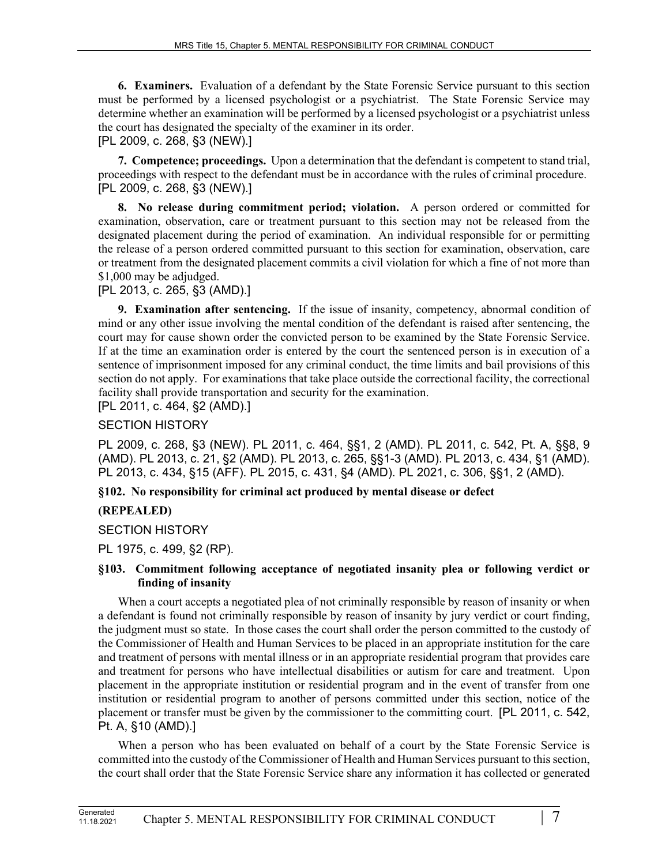**6. Examiners.** Evaluation of a defendant by the State Forensic Service pursuant to this section must be performed by a licensed psychologist or a psychiatrist. The State Forensic Service may determine whether an examination will be performed by a licensed psychologist or a psychiatrist unless the court has designated the specialty of the examiner in its order.

# [PL 2009, c. 268, §3 (NEW).]

**7. Competence; proceedings.** Upon a determination that the defendant is competent to stand trial, proceedings with respect to the defendant must be in accordance with the rules of criminal procedure. [PL 2009, c. 268, §3 (NEW).]

**8. No release during commitment period; violation.** A person ordered or committed for examination, observation, care or treatment pursuant to this section may not be released from the designated placement during the period of examination. An individual responsible for or permitting the release of a person ordered committed pursuant to this section for examination, observation, care or treatment from the designated placement commits a civil violation for which a fine of not more than \$1,000 may be adjudged.

[PL 2013, c. 265, §3 (AMD).]

**9. Examination after sentencing.** If the issue of insanity, competency, abnormal condition of mind or any other issue involving the mental condition of the defendant is raised after sentencing, the court may for cause shown order the convicted person to be examined by the State Forensic Service. If at the time an examination order is entered by the court the sentenced person is in execution of a sentence of imprisonment imposed for any criminal conduct, the time limits and bail provisions of this section do not apply. For examinations that take place outside the correctional facility, the correctional facility shall provide transportation and security for the examination.

[PL 2011, c. 464, §2 (AMD).]

## SECTION HISTORY

PL 2009, c. 268, §3 (NEW). PL 2011, c. 464, §§1, 2 (AMD). PL 2011, c. 542, Pt. A, §§8, 9 (AMD). PL 2013, c. 21, §2 (AMD). PL 2013, c. 265, §§1-3 (AMD). PL 2013, c. 434, §1 (AMD). PL 2013, c. 434, §15 (AFF). PL 2015, c. 431, §4 (AMD). PL 2021, c. 306, §§1, 2 (AMD).

## **§102. No responsibility for criminal act produced by mental disease or defect**

## **(REPEALED)**

SECTION HISTORY

PL 1975, c. 499, §2 (RP).

### **§103. Commitment following acceptance of negotiated insanity plea or following verdict or finding of insanity**

When a court accepts a negotiated plea of not criminally responsible by reason of insanity or when a defendant is found not criminally responsible by reason of insanity by jury verdict or court finding, the judgment must so state. In those cases the court shall order the person committed to the custody of the Commissioner of Health and Human Services to be placed in an appropriate institution for the care and treatment of persons with mental illness or in an appropriate residential program that provides care and treatment for persons who have intellectual disabilities or autism for care and treatment. Upon placement in the appropriate institution or residential program and in the event of transfer from one institution or residential program to another of persons committed under this section, notice of the placement or transfer must be given by the commissioner to the committing court. [PL 2011, c. 542, Pt. A, §10 (AMD).]

When a person who has been evaluated on behalf of a court by the State Forensic Service is committed into the custody of the Commissioner of Health and Human Services pursuant to this section, the court shall order that the State Forensic Service share any information it has collected or generated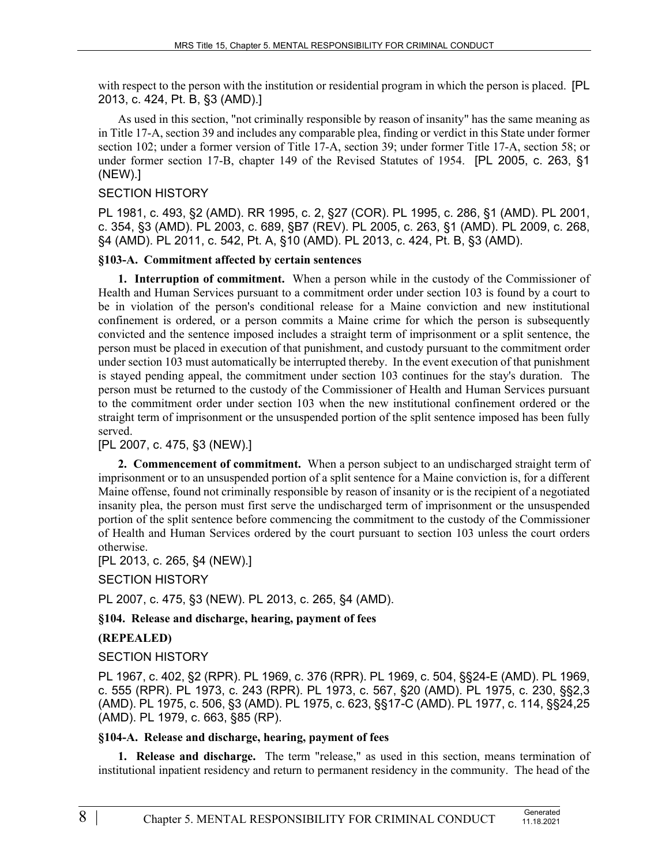with respect to the person with the institution or residential program in which the person is placed. [PL 2013, c. 424, Pt. B, §3 (AMD).]

As used in this section, "not criminally responsible by reason of insanity" has the same meaning as in Title 17-A, section 39 and includes any comparable plea, finding or verdict in this State under former section 102; under a former version of Title 17-A, section 39; under former Title 17-A, section 58; or under former section 17-B, chapter 149 of the Revised Statutes of 1954. [PL 2005, c. 263, §1 (NEW).]

### SECTION HISTORY

PL 1981, c. 493, §2 (AMD). RR 1995, c. 2, §27 (COR). PL 1995, c. 286, §1 (AMD). PL 2001, c. 354, §3 (AMD). PL 2003, c. 689, §B7 (REV). PL 2005, c. 263, §1 (AMD). PL 2009, c. 268, §4 (AMD). PL 2011, c. 542, Pt. A, §10 (AMD). PL 2013, c. 424, Pt. B, §3 (AMD).

#### **§103-A. Commitment affected by certain sentences**

**1. Interruption of commitment.** When a person while in the custody of the Commissioner of Health and Human Services pursuant to a commitment order under section 103 is found by a court to be in violation of the person's conditional release for a Maine conviction and new institutional confinement is ordered, or a person commits a Maine crime for which the person is subsequently convicted and the sentence imposed includes a straight term of imprisonment or a split sentence, the person must be placed in execution of that punishment, and custody pursuant to the commitment order under section 103 must automatically be interrupted thereby. In the event execution of that punishment is stayed pending appeal, the commitment under section 103 continues for the stay's duration. The person must be returned to the custody of the Commissioner of Health and Human Services pursuant to the commitment order under section 103 when the new institutional confinement ordered or the straight term of imprisonment or the unsuspended portion of the split sentence imposed has been fully served.

## [PL 2007, c. 475, §3 (NEW).]

**2. Commencement of commitment.** When a person subject to an undischarged straight term of imprisonment or to an unsuspended portion of a split sentence for a Maine conviction is, for a different Maine offense, found not criminally responsible by reason of insanity or is the recipient of a negotiated insanity plea, the person must first serve the undischarged term of imprisonment or the unsuspended portion of the split sentence before commencing the commitment to the custody of the Commissioner of Health and Human Services ordered by the court pursuant to section 103 unless the court orders otherwise.

#### [PL 2013, c. 265, §4 (NEW).]

SECTION HISTORY

PL 2007, c. 475, §3 (NEW). PL 2013, c. 265, §4 (AMD).

**§104. Release and discharge, hearing, payment of fees**

#### **(REPEALED)**

## SECTION HISTORY

PL 1967, c. 402, §2 (RPR). PL 1969, c. 376 (RPR). PL 1969, c. 504, §§24-E (AMD). PL 1969, c. 555 (RPR). PL 1973, c. 243 (RPR). PL 1973, c. 567, §20 (AMD). PL 1975, c. 230, §§2,3 (AMD). PL 1975, c. 506, §3 (AMD). PL 1975, c. 623, §§17-C (AMD). PL 1977, c. 114, §§24,25 (AMD). PL 1979, c. 663, §85 (RP).

#### **§104-A. Release and discharge, hearing, payment of fees**

**1. Release and discharge.** The term "release," as used in this section, means termination of institutional inpatient residency and return to permanent residency in the community. The head of the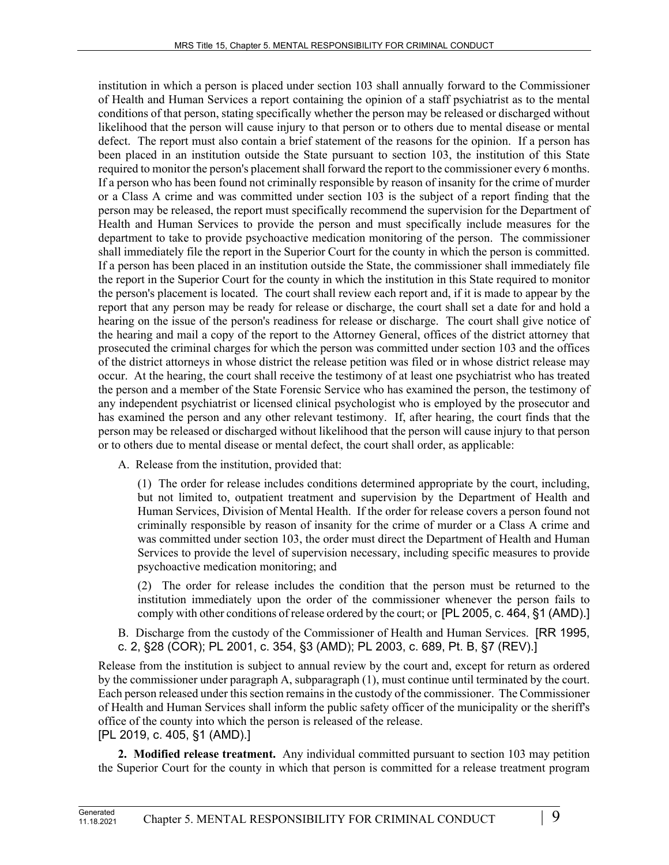institution in which a person is placed under section 103 shall annually forward to the Commissioner of Health and Human Services a report containing the opinion of a staff psychiatrist as to the mental conditions of that person, stating specifically whether the person may be released or discharged without likelihood that the person will cause injury to that person or to others due to mental disease or mental defect. The report must also contain a brief statement of the reasons for the opinion. If a person has been placed in an institution outside the State pursuant to section 103, the institution of this State required to monitor the person's placement shall forward the report to the commissioner every 6 months. If a person who has been found not criminally responsible by reason of insanity for the crime of murder or a Class A crime and was committed under section 103 is the subject of a report finding that the person may be released, the report must specifically recommend the supervision for the Department of Health and Human Services to provide the person and must specifically include measures for the department to take to provide psychoactive medication monitoring of the person. The commissioner shall immediately file the report in the Superior Court for the county in which the person is committed. If a person has been placed in an institution outside the State, the commissioner shall immediately file the report in the Superior Court for the county in which the institution in this State required to monitor the person's placement is located. The court shall review each report and, if it is made to appear by the report that any person may be ready for release or discharge, the court shall set a date for and hold a hearing on the issue of the person's readiness for release or discharge. The court shall give notice of the hearing and mail a copy of the report to the Attorney General, offices of the district attorney that prosecuted the criminal charges for which the person was committed under section 103 and the offices of the district attorneys in whose district the release petition was filed or in whose district release may occur. At the hearing, the court shall receive the testimony of at least one psychiatrist who has treated the person and a member of the State Forensic Service who has examined the person, the testimony of any independent psychiatrist or licensed clinical psychologist who is employed by the prosecutor and has examined the person and any other relevant testimony. If, after hearing, the court finds that the person may be released or discharged without likelihood that the person will cause injury to that person or to others due to mental disease or mental defect, the court shall order, as applicable:

A. Release from the institution, provided that:

(1) The order for release includes conditions determined appropriate by the court, including, but not limited to, outpatient treatment and supervision by the Department of Health and Human Services, Division of Mental Health. If the order for release covers a person found not criminally responsible by reason of insanity for the crime of murder or a Class A crime and was committed under section 103, the order must direct the Department of Health and Human Services to provide the level of supervision necessary, including specific measures to provide psychoactive medication monitoring; and

(2) The order for release includes the condition that the person must be returned to the institution immediately upon the order of the commissioner whenever the person fails to comply with other conditions of release ordered by the court; or [PL 2005, c. 464, §1 (AMD).]

B. Discharge from the custody of the Commissioner of Health and Human Services. [RR 1995, c. 2, §28 (COR); PL 2001, c. 354, §3 (AMD); PL 2003, c. 689, Pt. B, §7 (REV).]

Release from the institution is subject to annual review by the court and, except for return as ordered by the commissioner under paragraph A, subparagraph (1), must continue until terminated by the court. Each person released under this section remains in the custody of the commissioner. The Commissioner of Health and Human Services shall inform the public safety officer of the municipality or the sheriff's office of the county into which the person is released of the release. [PL 2019, c. 405, §1 (AMD).]

**2. Modified release treatment.** Any individual committed pursuant to section 103 may petition the Superior Court for the county in which that person is committed for a release treatment program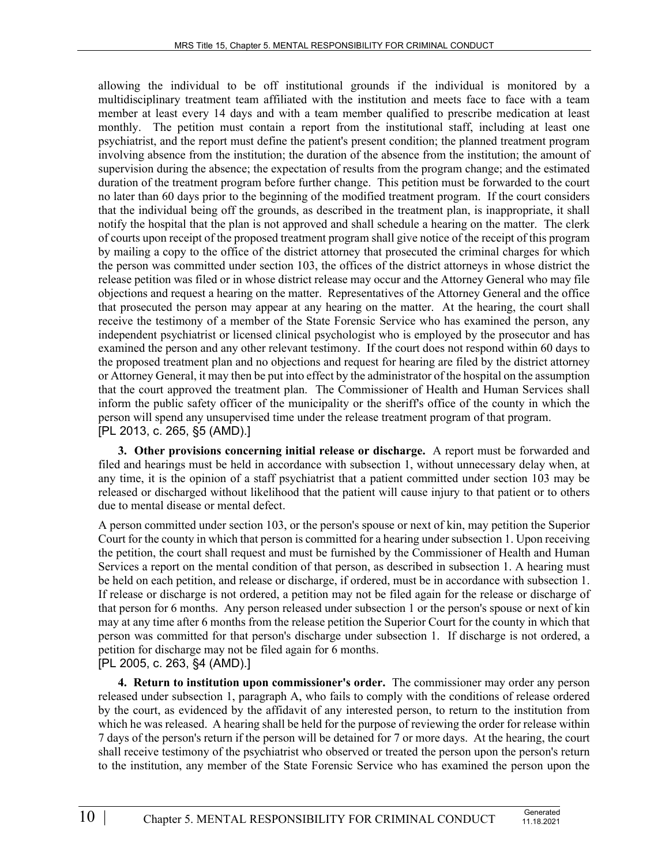allowing the individual to be off institutional grounds if the individual is monitored by a multidisciplinary treatment team affiliated with the institution and meets face to face with a team member at least every 14 days and with a team member qualified to prescribe medication at least monthly. The petition must contain a report from the institutional staff, including at least one psychiatrist, and the report must define the patient's present condition; the planned treatment program involving absence from the institution; the duration of the absence from the institution; the amount of supervision during the absence; the expectation of results from the program change; and the estimated duration of the treatment program before further change. This petition must be forwarded to the court no later than 60 days prior to the beginning of the modified treatment program. If the court considers that the individual being off the grounds, as described in the treatment plan, is inappropriate, it shall notify the hospital that the plan is not approved and shall schedule a hearing on the matter. The clerk of courts upon receipt of the proposed treatment program shall give notice of the receipt of this program by mailing a copy to the office of the district attorney that prosecuted the criminal charges for which the person was committed under section 103, the offices of the district attorneys in whose district the release petition was filed or in whose district release may occur and the Attorney General who may file objections and request a hearing on the matter. Representatives of the Attorney General and the office that prosecuted the person may appear at any hearing on the matter. At the hearing, the court shall receive the testimony of a member of the State Forensic Service who has examined the person, any independent psychiatrist or licensed clinical psychologist who is employed by the prosecutor and has examined the person and any other relevant testimony. If the court does not respond within 60 days to the proposed treatment plan and no objections and request for hearing are filed by the district attorney or Attorney General, it may then be put into effect by the administrator of the hospital on the assumption that the court approved the treatment plan. The Commissioner of Health and Human Services shall inform the public safety officer of the municipality or the sheriff's office of the county in which the person will spend any unsupervised time under the release treatment program of that program. [PL 2013, c. 265, §5 (AMD).]

**3. Other provisions concerning initial release or discharge.** A report must be forwarded and filed and hearings must be held in accordance with subsection 1, without unnecessary delay when, at any time, it is the opinion of a staff psychiatrist that a patient committed under section 103 may be released or discharged without likelihood that the patient will cause injury to that patient or to others due to mental disease or mental defect.

A person committed under section 103, or the person's spouse or next of kin, may petition the Superior Court for the county in which that person is committed for a hearing under subsection 1. Upon receiving the petition, the court shall request and must be furnished by the Commissioner of Health and Human Services a report on the mental condition of that person, as described in subsection 1. A hearing must be held on each petition, and release or discharge, if ordered, must be in accordance with subsection 1. If release or discharge is not ordered, a petition may not be filed again for the release or discharge of that person for 6 months. Any person released under subsection 1 or the person's spouse or next of kin may at any time after 6 months from the release petition the Superior Court for the county in which that person was committed for that person's discharge under subsection 1. If discharge is not ordered, a petition for discharge may not be filed again for 6 months. [PL 2005, c. 263, §4 (AMD).]

**4. Return to institution upon commissioner's order.** The commissioner may order any person released under subsection 1, paragraph A, who fails to comply with the conditions of release ordered by the court, as evidenced by the affidavit of any interested person, to return to the institution from which he was released. A hearing shall be held for the purpose of reviewing the order for release within 7 days of the person's return if the person will be detained for 7 or more days. At the hearing, the court shall receive testimony of the psychiatrist who observed or treated the person upon the person's return to the institution, any member of the State Forensic Service who has examined the person upon the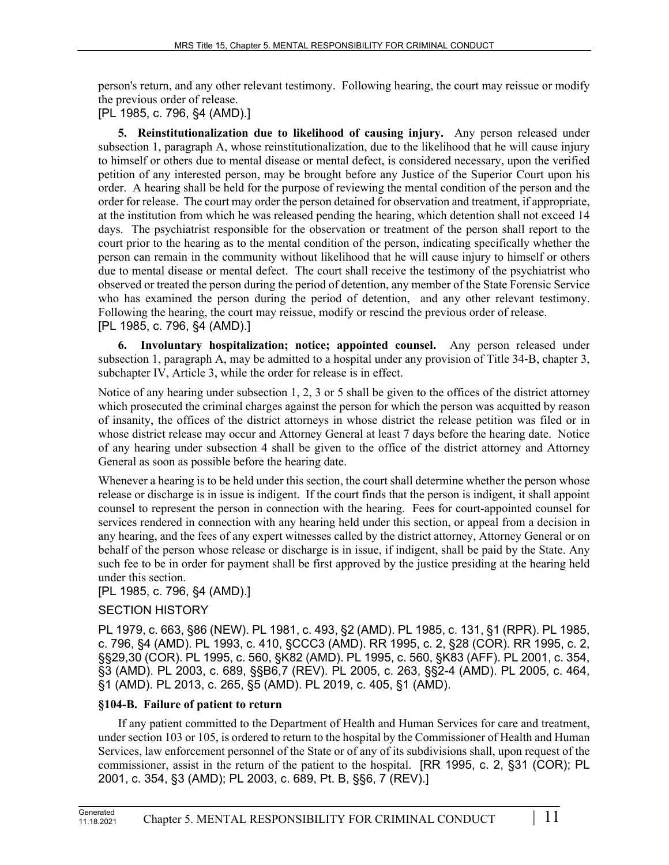person's return, and any other relevant testimony. Following hearing, the court may reissue or modify the previous order of release.

[PL 1985, c. 796, §4 (AMD).]

**5. Reinstitutionalization due to likelihood of causing injury.** Any person released under subsection 1, paragraph A, whose reinstitutionalization, due to the likelihood that he will cause injury to himself or others due to mental disease or mental defect, is considered necessary, upon the verified petition of any interested person, may be brought before any Justice of the Superior Court upon his order. A hearing shall be held for the purpose of reviewing the mental condition of the person and the order for release. The court may order the person detained for observation and treatment, if appropriate, at the institution from which he was released pending the hearing, which detention shall not exceed 14 days. The psychiatrist responsible for the observation or treatment of the person shall report to the court prior to the hearing as to the mental condition of the person, indicating specifically whether the person can remain in the community without likelihood that he will cause injury to himself or others due to mental disease or mental defect. The court shall receive the testimony of the psychiatrist who observed or treated the person during the period of detention, any member of the State Forensic Service who has examined the person during the period of detention, and any other relevant testimony. Following the hearing, the court may reissue, modify or rescind the previous order of release. [PL 1985, c. 796, §4 (AMD).]

**6. Involuntary hospitalization; notice; appointed counsel.** Any person released under subsection 1, paragraph A, may be admitted to a hospital under any provision of Title 34‑B, chapter 3, subchapter IV, Article 3, while the order for release is in effect.

Notice of any hearing under subsection 1, 2, 3 or 5 shall be given to the offices of the district attorney which prosecuted the criminal charges against the person for which the person was acquitted by reason of insanity, the offices of the district attorneys in whose district the release petition was filed or in whose district release may occur and Attorney General at least 7 days before the hearing date. Notice of any hearing under subsection 4 shall be given to the office of the district attorney and Attorney General as soon as possible before the hearing date.

Whenever a hearing is to be held under this section, the court shall determine whether the person whose release or discharge is in issue is indigent. If the court finds that the person is indigent, it shall appoint counsel to represent the person in connection with the hearing. Fees for court-appointed counsel for services rendered in connection with any hearing held under this section, or appeal from a decision in any hearing, and the fees of any expert witnesses called by the district attorney, Attorney General or on behalf of the person whose release or discharge is in issue, if indigent, shall be paid by the State. Any such fee to be in order for payment shall be first approved by the justice presiding at the hearing held under this section.

# [PL 1985, c. 796, §4 (AMD).]

# SECTION HISTORY

PL 1979, c. 663, §86 (NEW). PL 1981, c. 493, §2 (AMD). PL 1985, c. 131, §1 (RPR). PL 1985, c. 796, §4 (AMD). PL 1993, c. 410, §CCC3 (AMD). RR 1995, c. 2, §28 (COR). RR 1995, c. 2, §§29,30 (COR). PL 1995, c. 560, §K82 (AMD). PL 1995, c. 560, §K83 (AFF). PL 2001, c. 354, §3 (AMD). PL 2003, c. 689, §§B6,7 (REV). PL 2005, c. 263, §§2-4 (AMD). PL 2005, c. 464, §1 (AMD). PL 2013, c. 265, §5 (AMD). PL 2019, c. 405, §1 (AMD).

# **§104-B. Failure of patient to return**

If any patient committed to the Department of Health and Human Services for care and treatment, under section 103 or 105, is ordered to return to the hospital by the Commissioner of Health and Human Services, law enforcement personnel of the State or of any of its subdivisions shall, upon request of the commissioner, assist in the return of the patient to the hospital. [RR 1995, c. 2, §31 (COR); PL 2001, c. 354, §3 (AMD); PL 2003, c. 689, Pt. B, §§6, 7 (REV).]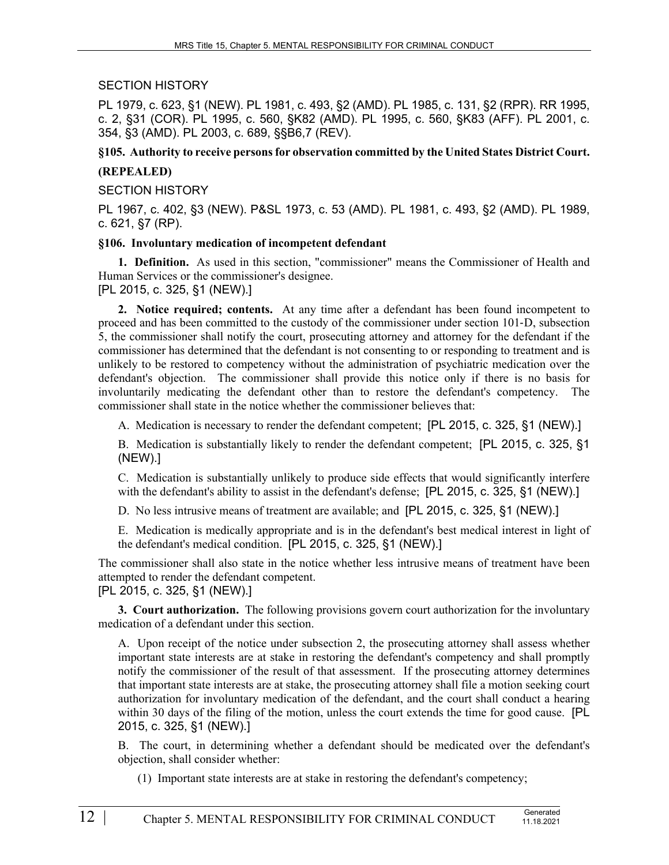SECTION HISTORY

PL 1979, c. 623, §1 (NEW). PL 1981, c. 493, §2 (AMD). PL 1985, c. 131, §2 (RPR). RR 1995, c. 2, §31 (COR). PL 1995, c. 560, §K82 (AMD). PL 1995, c. 560, §K83 (AFF). PL 2001, c. 354, §3 (AMD). PL 2003, c. 689, §§B6,7 (REV).

### **§105. Authority to receive persons for observation committed by the United States District Court.**

### **(REPEALED)**

SECTION HISTORY

PL 1967, c. 402, §3 (NEW). P&SL 1973, c. 53 (AMD). PL 1981, c. 493, §2 (AMD). PL 1989, c. 621, §7 (RP).

#### **§106. Involuntary medication of incompetent defendant**

**1. Definition.** As used in this section, "commissioner" means the Commissioner of Health and Human Services or the commissioner's designee.

[PL 2015, c. 325, §1 (NEW).]

**2. Notice required; contents.** At any time after a defendant has been found incompetent to proceed and has been committed to the custody of the commissioner under section 101‑D, subsection 5, the commissioner shall notify the court, prosecuting attorney and attorney for the defendant if the commissioner has determined that the defendant is not consenting to or responding to treatment and is unlikely to be restored to competency without the administration of psychiatric medication over the defendant's objection. The commissioner shall provide this notice only if there is no basis for involuntarily medicating the defendant other than to restore the defendant's competency. The commissioner shall state in the notice whether the commissioner believes that:

A. Medication is necessary to render the defendant competent; [PL 2015, c. 325, §1 (NEW).]

B. Medication is substantially likely to render the defendant competent; [PL 2015, c. 325, §1 (NEW).]

C. Medication is substantially unlikely to produce side effects that would significantly interfere with the defendant's ability to assist in the defendant's defense; [PL 2015, c. 325, §1 (NEW).]

D. No less intrusive means of treatment are available; and [PL 2015, c. 325, §1 (NEW).]

E. Medication is medically appropriate and is in the defendant's best medical interest in light of the defendant's medical condition. [PL 2015, c. 325, §1 (NEW).]

The commissioner shall also state in the notice whether less intrusive means of treatment have been attempted to render the defendant competent.

[PL 2015, c. 325, §1 (NEW).]

**3. Court authorization.** The following provisions govern court authorization for the involuntary medication of a defendant under this section.

A. Upon receipt of the notice under subsection 2, the prosecuting attorney shall assess whether important state interests are at stake in restoring the defendant's competency and shall promptly notify the commissioner of the result of that assessment. If the prosecuting attorney determines that important state interests are at stake, the prosecuting attorney shall file a motion seeking court authorization for involuntary medication of the defendant, and the court shall conduct a hearing within 30 days of the filing of the motion, unless the court extends the time for good cause. [PL 2015, c. 325, §1 (NEW).]

B. The court, in determining whether a defendant should be medicated over the defendant's objection, shall consider whether:

(1) Important state interests are at stake in restoring the defendant's competency;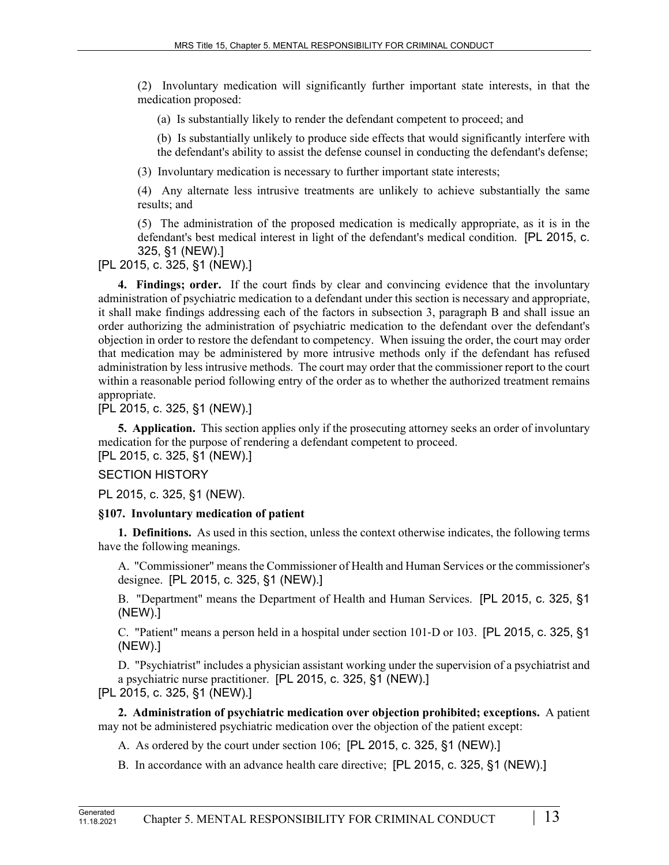(2) Involuntary medication will significantly further important state interests, in that the medication proposed:

(a) Is substantially likely to render the defendant competent to proceed; and

(b) Is substantially unlikely to produce side effects that would significantly interfere with the defendant's ability to assist the defense counsel in conducting the defendant's defense;

(3) Involuntary medication is necessary to further important state interests;

(4) Any alternate less intrusive treatments are unlikely to achieve substantially the same results; and

(5) The administration of the proposed medication is medically appropriate, as it is in the defendant's best medical interest in light of the defendant's medical condition. [PL 2015, c. 325, §1 (NEW).]

[PL 2015, c. 325, §1 (NEW).]

**4. Findings; order.** If the court finds by clear and convincing evidence that the involuntary administration of psychiatric medication to a defendant under this section is necessary and appropriate, it shall make findings addressing each of the factors in subsection 3, paragraph B and shall issue an order authorizing the administration of psychiatric medication to the defendant over the defendant's objection in order to restore the defendant to competency. When issuing the order, the court may order that medication may be administered by more intrusive methods only if the defendant has refused administration by less intrusive methods. The court may order that the commissioner report to the court within a reasonable period following entry of the order as to whether the authorized treatment remains appropriate.

[PL 2015, c. 325, §1 (NEW).]

**5. Application.** This section applies only if the prosecuting attorney seeks an order of involuntary medication for the purpose of rendering a defendant competent to proceed. [PL 2015, c. 325, §1 (NEW).]

## SECTION HISTORY

PL 2015, c. 325, §1 (NEW).

## **§107. Involuntary medication of patient**

**1. Definitions.** As used in this section, unless the context otherwise indicates, the following terms have the following meanings.

A. "Commissioner" means the Commissioner of Health and Human Services or the commissioner's designee. [PL 2015, c. 325, §1 (NEW).]

B. "Department" means the Department of Health and Human Services. [PL 2015, c. 325, §1 (NEW).]

C. "Patient" means a person held in a hospital under section 101‑D or 103. [PL 2015, c. 325, §1 (NEW).]

D. "Psychiatrist" includes a physician assistant working under the supervision of a psychiatrist and a psychiatric nurse practitioner. [PL 2015, c. 325, §1 (NEW).] [PL 2015, c. 325, §1 (NEW).]

**2. Administration of psychiatric medication over objection prohibited; exceptions.** A patient may not be administered psychiatric medication over the objection of the patient except:

A. As ordered by the court under section 106; [PL 2015, c. 325, §1 (NEW).]

B. In accordance with an advance health care directive; [PL 2015, c. 325, §1 (NEW).]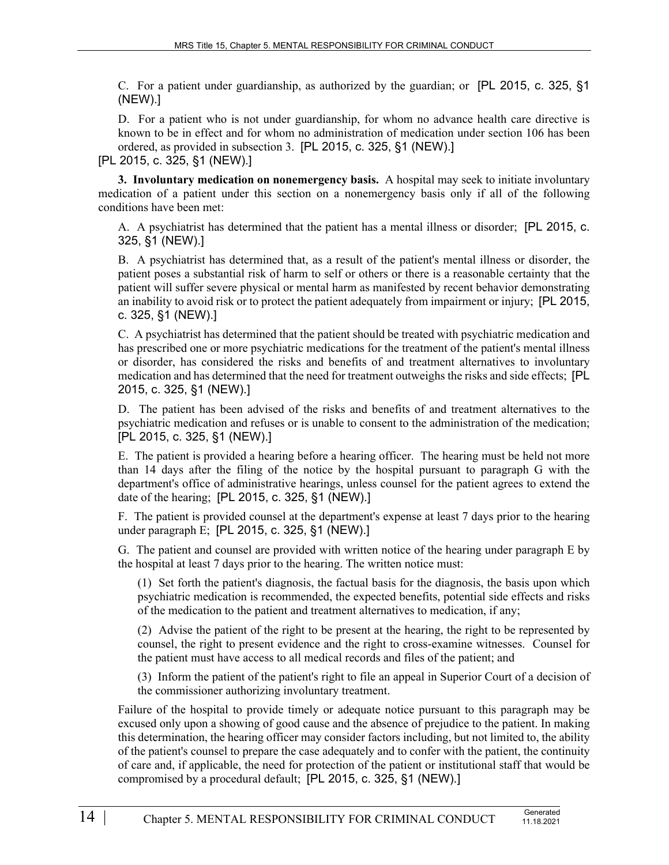C. For a patient under guardianship, as authorized by the guardian; or [PL 2015, c. 325, §1 (NEW).]

D. For a patient who is not under guardianship, for whom no advance health care directive is known to be in effect and for whom no administration of medication under section 106 has been ordered, as provided in subsection 3. [PL 2015, c. 325, §1 (NEW).]

[PL 2015, c. 325, §1 (NEW).]

**3. Involuntary medication on nonemergency basis.** A hospital may seek to initiate involuntary medication of a patient under this section on a nonemergency basis only if all of the following conditions have been met:

A. A psychiatrist has determined that the patient has a mental illness or disorder; [PL 2015, c. 325, §1 (NEW).]

B. A psychiatrist has determined that, as a result of the patient's mental illness or disorder, the patient poses a substantial risk of harm to self or others or there is a reasonable certainty that the patient will suffer severe physical or mental harm as manifested by recent behavior demonstrating an inability to avoid risk or to protect the patient adequately from impairment or injury; [PL 2015, c. 325, §1 (NEW).]

C. A psychiatrist has determined that the patient should be treated with psychiatric medication and has prescribed one or more psychiatric medications for the treatment of the patient's mental illness or disorder, has considered the risks and benefits of and treatment alternatives to involuntary medication and has determined that the need for treatment outweighs the risks and side effects; [PL 2015, c. 325, §1 (NEW).]

D. The patient has been advised of the risks and benefits of and treatment alternatives to the psychiatric medication and refuses or is unable to consent to the administration of the medication; [PL 2015, c. 325, §1 (NEW).]

E. The patient is provided a hearing before a hearing officer. The hearing must be held not more than 14 days after the filing of the notice by the hospital pursuant to paragraph G with the department's office of administrative hearings, unless counsel for the patient agrees to extend the date of the hearing; [PL 2015, c. 325, §1 (NEW).]

F. The patient is provided counsel at the department's expense at least 7 days prior to the hearing under paragraph E; [PL 2015, c. 325, §1 (NEW).]

G. The patient and counsel are provided with written notice of the hearing under paragraph E by the hospital at least 7 days prior to the hearing. The written notice must:

(1) Set forth the patient's diagnosis, the factual basis for the diagnosis, the basis upon which psychiatric medication is recommended, the expected benefits, potential side effects and risks of the medication to the patient and treatment alternatives to medication, if any;

(2) Advise the patient of the right to be present at the hearing, the right to be represented by counsel, the right to present evidence and the right to cross-examine witnesses. Counsel for the patient must have access to all medical records and files of the patient; and

(3) Inform the patient of the patient's right to file an appeal in Superior Court of a decision of the commissioner authorizing involuntary treatment.

Failure of the hospital to provide timely or adequate notice pursuant to this paragraph may be excused only upon a showing of good cause and the absence of prejudice to the patient. In making this determination, the hearing officer may consider factors including, but not limited to, the ability of the patient's counsel to prepare the case adequately and to confer with the patient, the continuity of care and, if applicable, the need for protection of the patient or institutional staff that would be compromised by a procedural default; [PL 2015, c. 325, §1 (NEW).]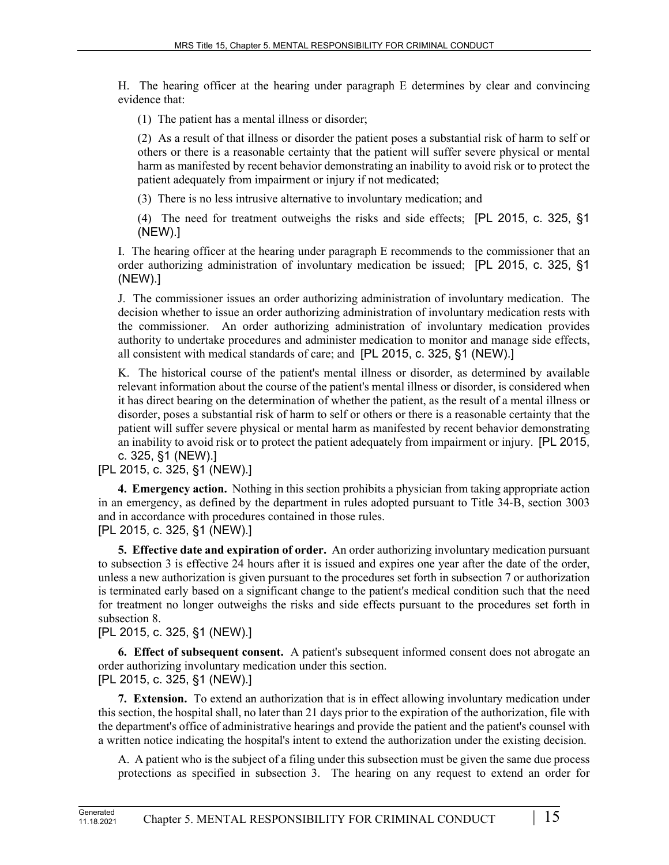H. The hearing officer at the hearing under paragraph E determines by clear and convincing evidence that:

(1) The patient has a mental illness or disorder;

(2) As a result of that illness or disorder the patient poses a substantial risk of harm to self or others or there is a reasonable certainty that the patient will suffer severe physical or mental harm as manifested by recent behavior demonstrating an inability to avoid risk or to protect the patient adequately from impairment or injury if not medicated;

(3) There is no less intrusive alternative to involuntary medication; and

(4) The need for treatment outweighs the risks and side effects; [PL 2015, c. 325, §1 (NEW).]

I. The hearing officer at the hearing under paragraph E recommends to the commissioner that an order authorizing administration of involuntary medication be issued; [PL 2015, c. 325, §1 (NEW).]

J. The commissioner issues an order authorizing administration of involuntary medication. The decision whether to issue an order authorizing administration of involuntary medication rests with the commissioner. An order authorizing administration of involuntary medication provides authority to undertake procedures and administer medication to monitor and manage side effects, all consistent with medical standards of care; and [PL 2015, c. 325, §1 (NEW).]

K. The historical course of the patient's mental illness or disorder, as determined by available relevant information about the course of the patient's mental illness or disorder, is considered when it has direct bearing on the determination of whether the patient, as the result of a mental illness or disorder, poses a substantial risk of harm to self or others or there is a reasonable certainty that the patient will suffer severe physical or mental harm as manifested by recent behavior demonstrating an inability to avoid risk or to protect the patient adequately from impairment or injury. [PL 2015, c. 325, §1 (NEW).]

[PL 2015, c. 325, §1 (NEW).]

**4. Emergency action.** Nothing in this section prohibits a physician from taking appropriate action in an emergency, as defined by the department in rules adopted pursuant to Title 34‑B, section 3003 and in accordance with procedures contained in those rules. [PL 2015, c. 325, §1 (NEW).]

**5. Effective date and expiration of order.** An order authorizing involuntary medication pursuant to subsection 3 is effective 24 hours after it is issued and expires one year after the date of the order, unless a new authorization is given pursuant to the procedures set forth in subsection 7 or authorization is terminated early based on a significant change to the patient's medical condition such that the need for treatment no longer outweighs the risks and side effects pursuant to the procedures set forth in subsection 8.

[PL 2015, c. 325, §1 (NEW).]

**6. Effect of subsequent consent.** A patient's subsequent informed consent does not abrogate an order authorizing involuntary medication under this section. [PL 2015, c. 325, §1 (NEW).]

**7. Extension.** To extend an authorization that is in effect allowing involuntary medication under this section, the hospital shall, no later than 21 days prior to the expiration of the authorization, file with the department's office of administrative hearings and provide the patient and the patient's counsel with a written notice indicating the hospital's intent to extend the authorization under the existing decision.

A. A patient who is the subject of a filing under this subsection must be given the same due process protections as specified in subsection 3. The hearing on any request to extend an order for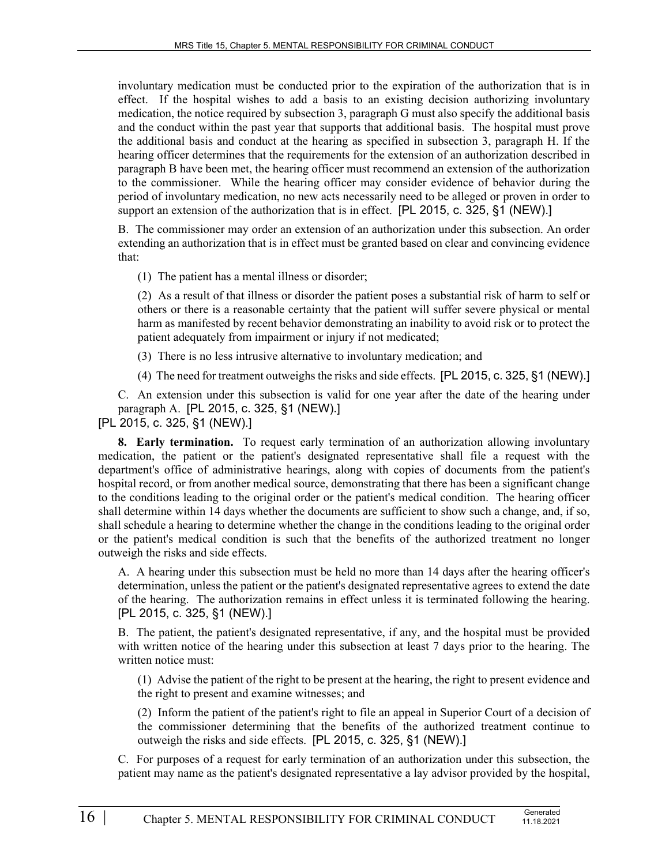involuntary medication must be conducted prior to the expiration of the authorization that is in effect. If the hospital wishes to add a basis to an existing decision authorizing involuntary medication, the notice required by subsection 3, paragraph G must also specify the additional basis and the conduct within the past year that supports that additional basis. The hospital must prove the additional basis and conduct at the hearing as specified in subsection 3, paragraph H. If the hearing officer determines that the requirements for the extension of an authorization described in paragraph B have been met, the hearing officer must recommend an extension of the authorization to the commissioner. While the hearing officer may consider evidence of behavior during the period of involuntary medication, no new acts necessarily need to be alleged or proven in order to support an extension of the authorization that is in effect. [PL 2015, c. 325, §1 (NEW).]

B. The commissioner may order an extension of an authorization under this subsection. An order extending an authorization that is in effect must be granted based on clear and convincing evidence that:

(1) The patient has a mental illness or disorder;

(2) As a result of that illness or disorder the patient poses a substantial risk of harm to self or others or there is a reasonable certainty that the patient will suffer severe physical or mental harm as manifested by recent behavior demonstrating an inability to avoid risk or to protect the patient adequately from impairment or injury if not medicated;

(3) There is no less intrusive alternative to involuntary medication; and

(4) The need for treatment outweighs the risks and side effects. [PL 2015, c. 325, §1 (NEW).]

C. An extension under this subsection is valid for one year after the date of the hearing under paragraph A. [PL 2015, c. 325, §1 (NEW).]

[PL 2015, c. 325, §1 (NEW).]

**8. Early termination.** To request early termination of an authorization allowing involuntary medication, the patient or the patient's designated representative shall file a request with the department's office of administrative hearings, along with copies of documents from the patient's hospital record, or from another medical source, demonstrating that there has been a significant change to the conditions leading to the original order or the patient's medical condition. The hearing officer shall determine within 14 days whether the documents are sufficient to show such a change, and, if so, shall schedule a hearing to determine whether the change in the conditions leading to the original order or the patient's medical condition is such that the benefits of the authorized treatment no longer outweigh the risks and side effects.

A. A hearing under this subsection must be held no more than 14 days after the hearing officer's determination, unless the patient or the patient's designated representative agrees to extend the date of the hearing. The authorization remains in effect unless it is terminated following the hearing. [PL 2015, c. 325, §1 (NEW).]

B. The patient, the patient's designated representative, if any, and the hospital must be provided with written notice of the hearing under this subsection at least 7 days prior to the hearing. The written notice must:

(1) Advise the patient of the right to be present at the hearing, the right to present evidence and the right to present and examine witnesses; and

(2) Inform the patient of the patient's right to file an appeal in Superior Court of a decision of the commissioner determining that the benefits of the authorized treatment continue to outweigh the risks and side effects. [PL 2015, c. 325, §1 (NEW).]

C. For purposes of a request for early termination of an authorization under this subsection, the patient may name as the patient's designated representative a lay advisor provided by the hospital,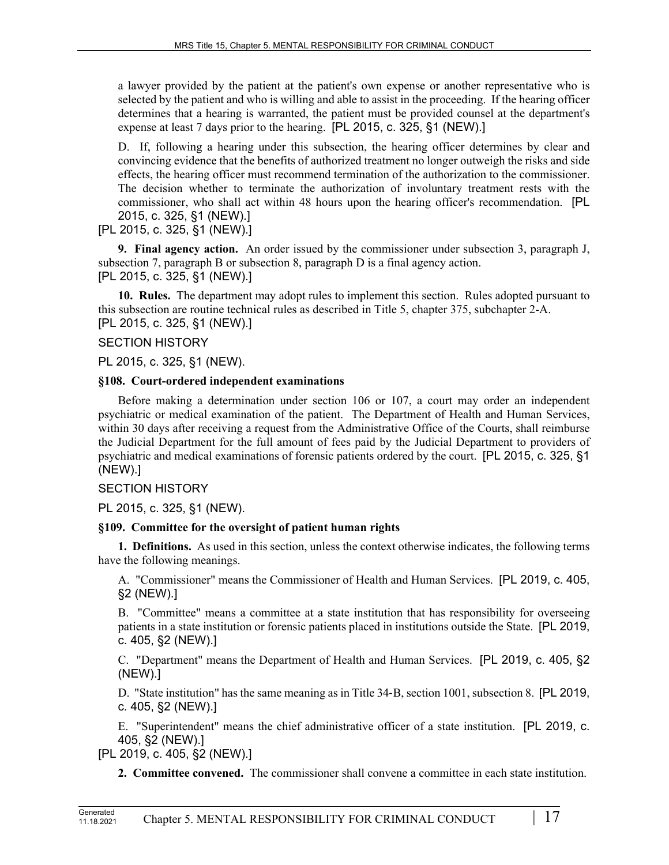a lawyer provided by the patient at the patient's own expense or another representative who is selected by the patient and who is willing and able to assist in the proceeding. If the hearing officer determines that a hearing is warranted, the patient must be provided counsel at the department's expense at least 7 days prior to the hearing. [PL 2015, c. 325, §1 (NEW).]

D. If, following a hearing under this subsection, the hearing officer determines by clear and convincing evidence that the benefits of authorized treatment no longer outweigh the risks and side effects, the hearing officer must recommend termination of the authorization to the commissioner. The decision whether to terminate the authorization of involuntary treatment rests with the commissioner, who shall act within 48 hours upon the hearing officer's recommendation. [PL 2015, c. 325, §1 (NEW).]

# [PL 2015, c. 325, §1 (NEW).]

**9. Final agency action.** An order issued by the commissioner under subsection 3, paragraph J, subsection 7, paragraph B or subsection 8, paragraph D is a final agency action. [PL 2015, c. 325, §1 (NEW).]

**10. Rules.** The department may adopt rules to implement this section. Rules adopted pursuant to this subsection are routine technical rules as described in Title 5, chapter 375, subchapter 2-A. [PL 2015, c. 325, §1 (NEW).]

# SECTION HISTORY

PL 2015, c. 325, §1 (NEW).

# **§108. Court-ordered independent examinations**

Before making a determination under section 106 or 107, a court may order an independent psychiatric or medical examination of the patient. The Department of Health and Human Services, within 30 days after receiving a request from the Administrative Office of the Courts, shall reimburse the Judicial Department for the full amount of fees paid by the Judicial Department to providers of psychiatric and medical examinations of forensic patients ordered by the court. [PL 2015, c. 325, §1 (NEW).]

# SECTION HISTORY

PL 2015, c. 325, §1 (NEW).

# **§109. Committee for the oversight of patient human rights**

**1. Definitions.** As used in this section, unless the context otherwise indicates, the following terms have the following meanings.

A. "Commissioner" means the Commissioner of Health and Human Services. [PL 2019, c. 405, §2 (NEW).]

B. "Committee" means a committee at a state institution that has responsibility for overseeing patients in a state institution or forensic patients placed in institutions outside the State. [PL 2019, c. 405, §2 (NEW).]

C. "Department" means the Department of Health and Human Services. [PL 2019, c. 405, §2 (NEW).]

D. "State institution" has the same meaning as in Title 34‑B, section 1001, subsection 8. [PL 2019, c. 405, §2 (NEW).]

E. "Superintendent" means the chief administrative officer of a state institution. [PL 2019, c. 405, §2 (NEW).]

[PL 2019, c. 405, §2 (NEW).]

**2. Committee convened.** The commissioner shall convene a committee in each state institution.